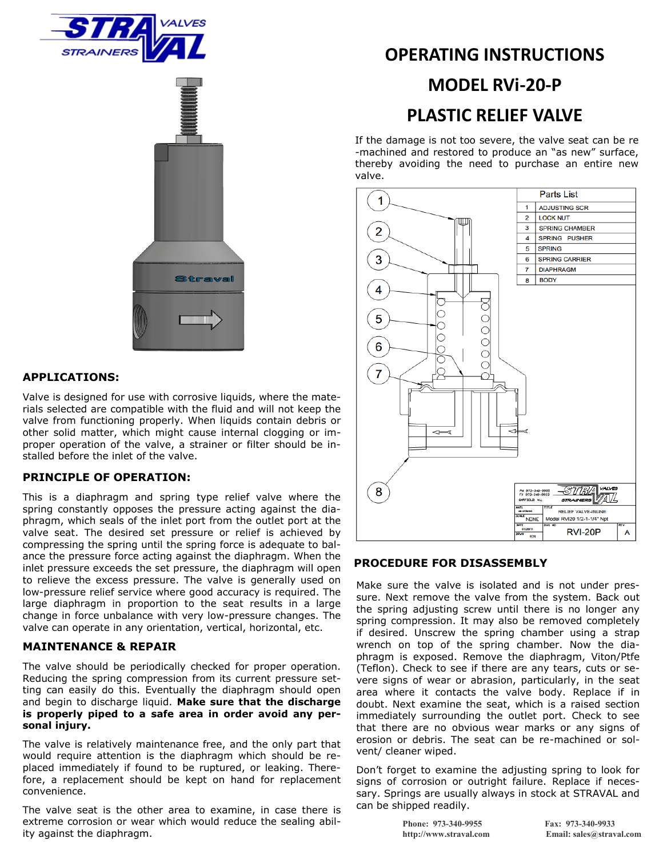



### **APPLICATIONS:**

Valve is designed for use with corrosive liquids, where the materials selected are compatible with the fluid and will not keep the valve from functioning properly. When liquids contain debris or other solid matter, which might cause internal clogging or improper operation of the valve, a strainer or filter should be installed before the inlet of the valve.

### **PRINCIPLE OF OPERATION:**

This is a diaphragm and spring type relief valve where the spring constantly opposes the pressure acting against the diaphragm, which seals of the inlet port from the outlet port at the valve seat. The desired set pressure or relief is achieved by compressing the spring until the spring force is adequate to balance the pressure force acting against the diaphragm. When the inlet pressure exceeds the set pressure, the diaphragm will open to relieve the excess pressure. The valve is generally used on low-pressure relief service where good accuracy is required. The large diaphragm in proportion to the seat results in a large change in force unbalance with very low-pressure changes. The valve can operate in any orientation, vertical, horizontal, etc.

### **MAINTENANCE & REPAIR**

The valve should be periodically checked for proper operation. Reducing the spring compression from its current pressure setting can easily do this. Eventually the diaphragm should open and begin to discharge liquid. **Make sure that the discharge is properly piped to a safe area in order avoid any personal injury.**

The valve is relatively maintenance free, and the only part that would require attention is the diaphragm which should be replaced immediately if found to be ruptured, or leaking. Therefore, a replacement should be kept on hand for replacement convenience.

The valve seat is the other area to examine, in case there is extreme corrosion or wear which would reduce the sealing ability against the diaphragm.

# **OPERATING INSTRUCTIONS**

### **MODEL RVi-20-P**

## **PLASTIC RELIEF VALVE**

If the damage is not too severe, the valve seat can be re -machined and restored to produce an "as new" surface, thereby avoiding the need to purchase an entire new valve.



### **PROCEDURE FOR DISASSEMBLY**

Make sure the valve is isolated and is not under pressure. Next remove the valve from the system. Back out the spring adjusting screw until there is no longer any spring compression. It may also be removed completely if desired. Unscrew the spring chamber using a strap wrench on top of the spring chamber. Now the diaphragm is exposed. Remove the diaphragm, Viton/Ptfe (Teflon). Check to see if there are any tears, cuts or severe signs of wear or abrasion, particularly, in the seat area where it contacts the valve body. Replace if in doubt. Next examine the seat, which is a raised section immediately surrounding the outlet port. Check to see that there are no obvious wear marks or any signs of erosion or debris. The seat can be re-machined or solvent/ cleaner wiped.

Don't forget to examine the adjusting spring to look for signs of corrosion or outright failure. Replace if necessary. Springs are usually always in stock at STRAVAL and can be shipped readily.

**Phone: 973-340-9955 Fax: 973-340-9933**